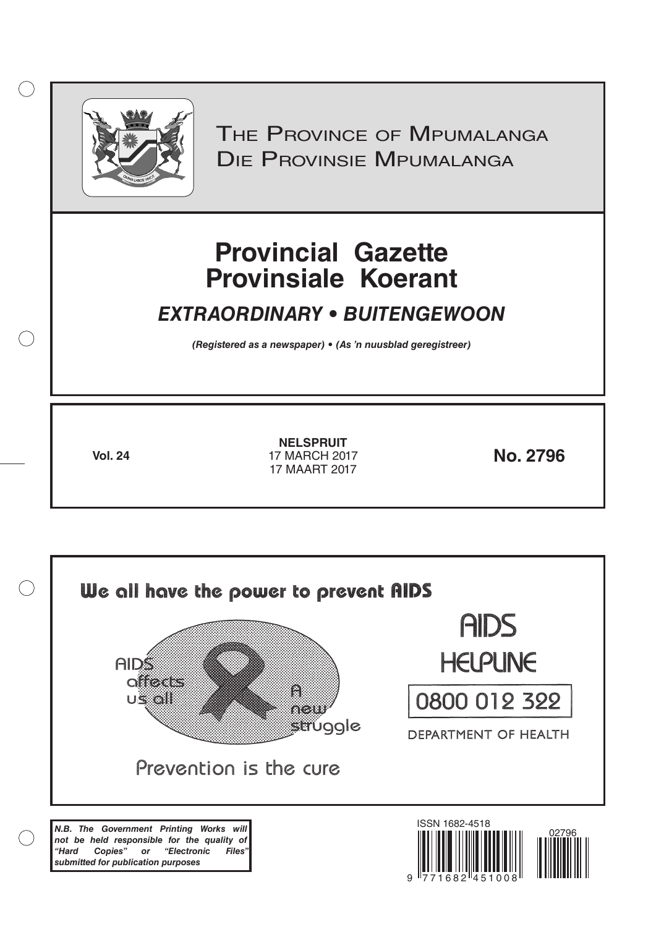

 $( )$ 

THE PROVINCE OF MPUMALANGA Die Provinsie Mpumalanga

# **Provincial Gazette Provinsiale Koerant**

# *EXTRAORDINARY • BUITENGEWOON*

*(Registered as a newspaper) • (As 'n nuusblad geregistreer)*

**Vol. 24 No. 2796** 17 MARCH 2017 **NELSPRUIT** 17 MAART 2017

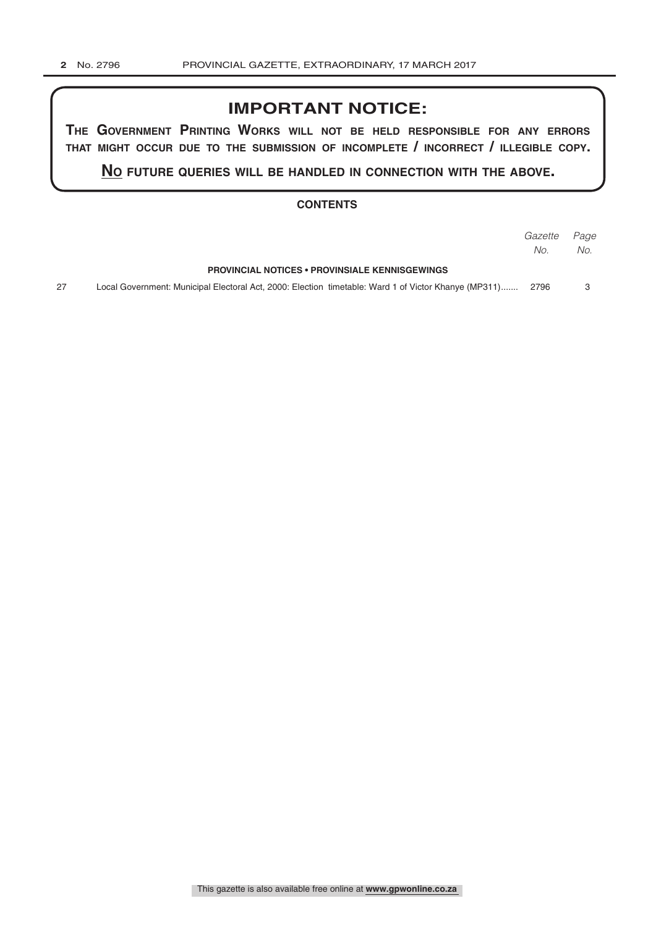## **IMPORTANT NOTICE:**

**The GovernmenT PrinTinG Works Will noT be held resPonsible for any errors ThaT miGhT occur due To The submission of incomPleTe / incorrecT / illeGible coPy.**

**no fuTure queries Will be handled in connecTion WiTh The above.**

#### **CONTENTS**

|                                                       |                                                                                                      | <i>Gazette Page</i> |     |
|-------------------------------------------------------|------------------------------------------------------------------------------------------------------|---------------------|-----|
|                                                       |                                                                                                      | No.                 | No. |
| <b>PROVINCIAL NOTICES • PROVINSIALE KENNISGEWINGS</b> |                                                                                                      |                     |     |
| 27                                                    | Local Government: Municipal Electoral Act, 2000: Election timetable: Ward 1 of Victor Khanye (MP311) | 2796                |     |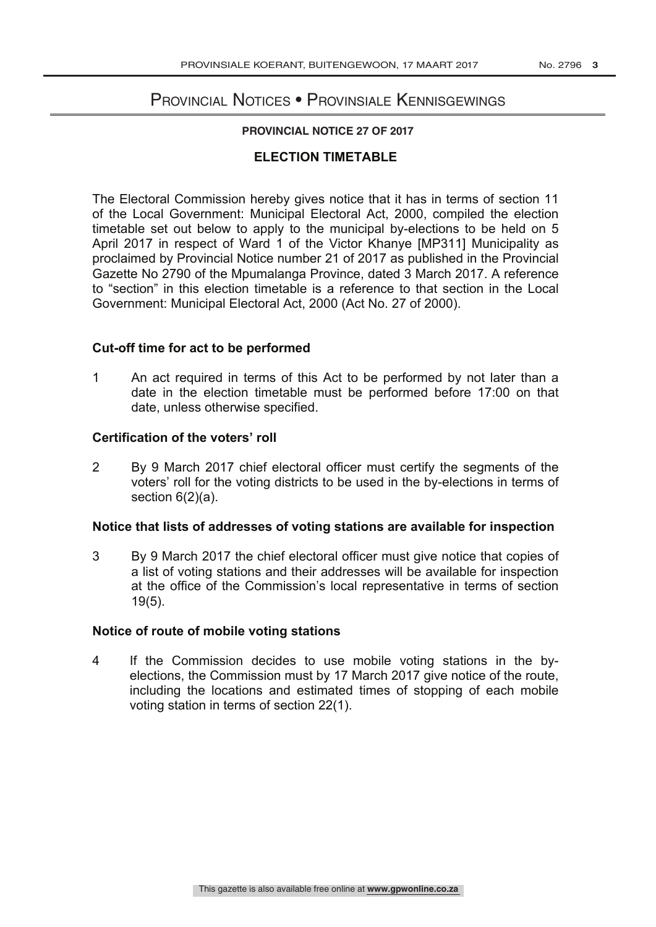### Provincial Notices • Provinsiale Kennisgewings

#### **PROVINCIAL NOTICE 27 OF 2017**

#### **ELECTION TIMETABLE**

The Electoral Commission hereby gives notice that it has in terms of section 11 of the Local Government: Municipal Electoral Act, 2000, compiled the election timetable set out below to apply to the municipal by-elections to be held on 5 April 2017 in respect of Ward 1 of the Victor Khanye [MP311] Municipality as proclaimed by Provincial Notice number 21 of 2017 as published in the Provincial Gazette No 2790 of the Mpumalanga Province, dated 3 March 2017. A reference to "section" in this election timetable is a reference to that section in the Local Government: Municipal Electoral Act, 2000 (Act No. 27 of 2000).

#### **Cut-off time for act to be performed**

1 An act required in terms of this Act to be performed by not later than a date in the election timetable must be performed before 17:00 on that date, unless otherwise specified.

#### **Certification of the voters' roll**

2 By 9 March 2017 chief electoral officer must certify the segments of the voters' roll for the voting districts to be used in the by-elections in terms of section 6(2)(a).

#### **Notice that lists of addresses of voting stations are available for inspection**

3 By 9 March 2017 the chief electoral officer must give notice that copies of a list of voting stations and their addresses will be available for inspection at the office of the Commission's local representative in terms of section 19(5).

#### **Notice of route of mobile voting stations**

4 If the Commission decides to use mobile voting stations in the byelections, the Commission must by 17 March 2017 give notice of the route, including the locations and estimated times of stopping of each mobile voting station in terms of section 22(1).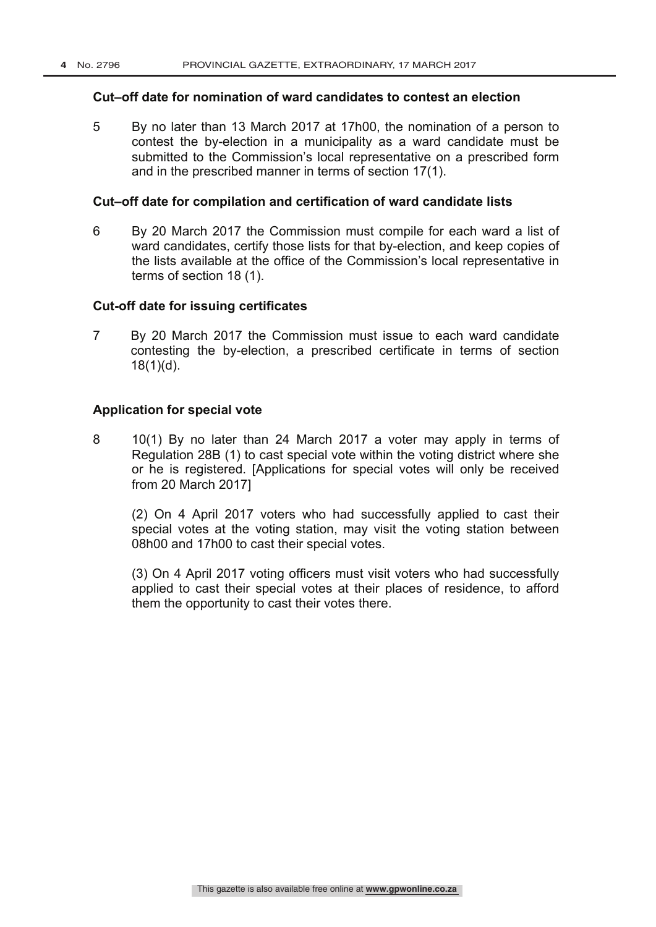#### **Cut–off date for nomination of ward candidates to contest an election**

5 By no later than 13 March 2017 at 17h00, the nomination of a person to contest the by-election in a municipality as a ward candidate must be submitted to the Commission's local representative on a prescribed form and in the prescribed manner in terms of section 17(1).

#### **Cut–off date for compilation and certification of ward candidate lists**

6 By 20 March 2017 the Commission must compile for each ward a list of ward candidates, certify those lists for that by-election, and keep copies of the lists available at the office of the Commission's local representative in terms of section 18 (1).

#### **Cut-off date for issuing certificates**

7 By 20 March 2017 the Commission must issue to each ward candidate contesting the by-election, a prescribed certificate in terms of section  $18(1)(d)$ .

#### **Application for special vote**

8 10(1) By no later than 24 March 2017 a voter may apply in terms of Regulation 28B (1) to cast special vote within the voting district where she or he is registered. [Applications for special votes will only be received from 20 March 2017]

(2) On 4 April 2017 voters who had successfully applied to cast their special votes at the voting station, may visit the voting station between 08h00 and 17h00 to cast their special votes.

(3) On 4 April 2017 voting officers must visit voters who had successfully applied to cast their special votes at their places of residence, to afford them the opportunity to cast their votes there.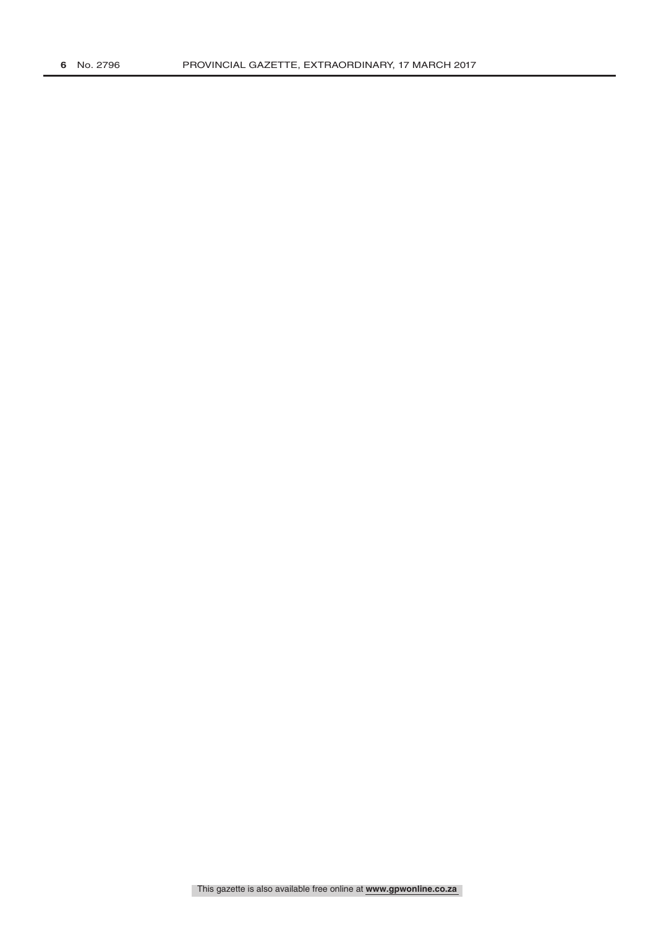This gazette is also available free online at **www.gpwonline.co.za**